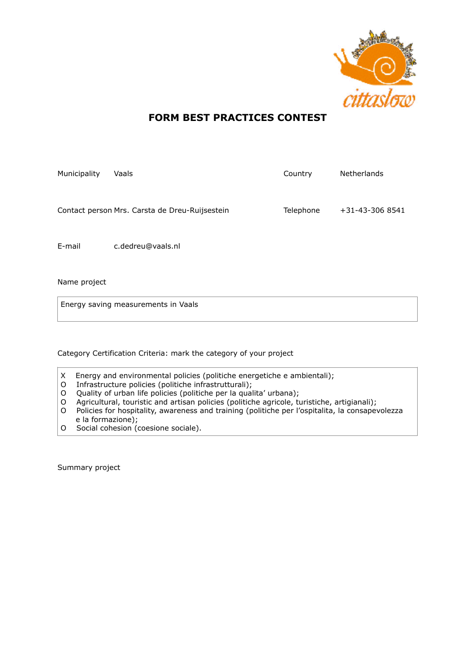

## **FORM BEST PRACTICES CONTEST**

| Municipality | Vaals                                          | Country   | <b>Netherlands</b> |
|--------------|------------------------------------------------|-----------|--------------------|
|              | Contact person Mrs. Carsta de Dreu-Ruijsestein | Telephone | +31-43-306 8541    |
| E-mail       | c.dedreu@vaals.nl                              |           |                    |

Name project

Energy saving measurements in Vaals

Category Certification Criteria: mark the category of your project

- X Energy and environmental policies (politiche energetiche e ambientali);
- O Infrastructure policies (politiche infrastrutturali);
- O Quality of urban life policies (politiche per la qualita' urbana);
- O Agricultural, touristic and artisan policies (politiche agricole, turistiche, artigianali);
- O Policies for hospitality, awareness and training (politiche per l'ospitalita, la consapevolezza e la formazione);
- O Social cohesion (coesione sociale).

Summary project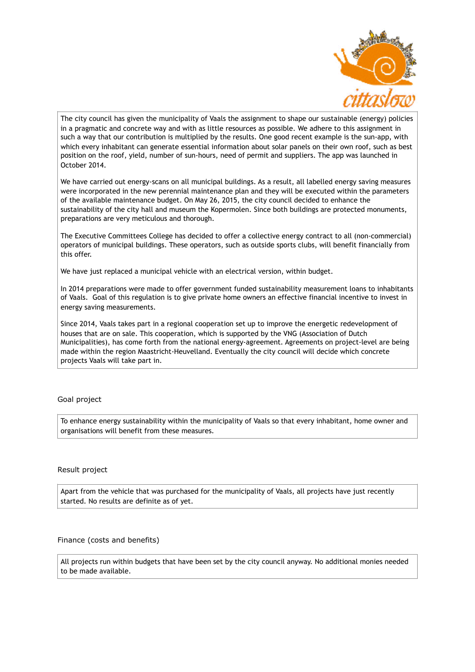

The city council has given the municipality of Vaals the assignment to shape our sustainable (energy) policies in a pragmatic and concrete way and with as little resources as possible. We adhere to this assignment in such a way that our contribution is multiplied by the results. One good recent example is the sun-app, with which every inhabitant can generate essential information about solar panels on their own roof, such as best position on the roof, yield, number of sun-hours, need of permit and suppliers. The app was launched in October 2014.

We have carried out energy-scans on all municipal buildings. As a result, all labelled energy saving measures were incorporated in the new perennial maintenance plan and they will be executed within the parameters of the available maintenance budget. On May 26, 2015, the city council decided to enhance the sustainability of the city hall and museum the Kopermolen. Since both buildings are protected monuments, preparations are very meticulous and thorough.

The Executive Committees College has decided to offer a collective energy contract to all (non-commercial) operators of municipal buildings. These operators, such as outside sports clubs, will benefit financially from this offer.

We have just replaced a municipal vehicle with an electrical version, within budget.

In 2014 preparations were made to offer government funded sustainability measurement loans to inhabitants of Vaals. Goal of this regulation is to give private home owners an effective financial incentive to invest in energy saving measurements.

Since 2014, Vaals takes part in a regional cooperation set up to improve the energetic redevelopment of houses that are on sale. This cooperation, which is supported by the VNG (Association of Dutch Municipalities), has come forth from the national energy-agreement. Agreements on project-level are being made within the region Maastricht-Heuvelland. Eventually the city council will decide which concrete projects Vaals will take part in.

## Goal project

To enhance energy sustainability within the municipality of Vaals so that every inhabitant, home owner and organisations will benefit from these measures.

## Result project

Apart from the vehicle that was purchased for the municipality of Vaals, all projects have just recently started. No results are definite as of yet.

Finance (costs and benefits)

All projects run within budgets that have been set by the city council anyway. No additional monies needed to be made available.